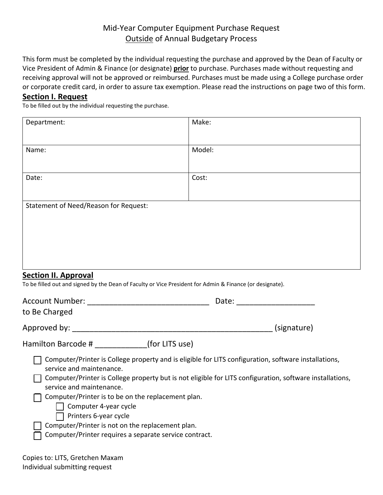## Mid-Year Computer Equipment Purchase Request Outside of Annual Budgetary Process

This form must be completed by the individual requesting the purchase and approved by the Dean of Faculty or Vice President of Admin & Finance (or designate) **prior** to purchase. Purchases made without requesting and receiving approval will not be approved or reimbursed. Purchases must be made using a College purchase order or corporate credit card, in order to assure tax exemption. Please read the instructions on page two of this form.

## **Section I. Request**

To be filled out by the individual requesting the purchase.

| Department:                                                                                                                                                                                                                                                                                                                                                                                                                                                                                           | Make:       |
|-------------------------------------------------------------------------------------------------------------------------------------------------------------------------------------------------------------------------------------------------------------------------------------------------------------------------------------------------------------------------------------------------------------------------------------------------------------------------------------------------------|-------------|
| Name:                                                                                                                                                                                                                                                                                                                                                                                                                                                                                                 | Model:      |
| Date:                                                                                                                                                                                                                                                                                                                                                                                                                                                                                                 | Cost:       |
| Statement of Need/Reason for Request:                                                                                                                                                                                                                                                                                                                                                                                                                                                                 |             |
| <b>Section II. Approval</b><br>To be filled out and signed by the Dean of Faculty or Vice President for Admin & Finance (or designate).                                                                                                                                                                                                                                                                                                                                                               |             |
| to Be Charged                                                                                                                                                                                                                                                                                                                                                                                                                                                                                         |             |
|                                                                                                                                                                                                                                                                                                                                                                                                                                                                                                       | (signature) |
| Hamilton Barcode # ___________(for LITS use)                                                                                                                                                                                                                                                                                                                                                                                                                                                          |             |
| Computer/Printer is College property and is eligible for LITS configuration, software installations,<br>service and maintenance.<br>Computer/Printer is College property but is not eligible for LITS configuration, software installations,<br>service and maintenance.<br>$\Box$ Computer/Printer is to be on the replacement plan.<br>Computer 4-year cycle<br>Printers 6-year cycle<br>Computer/Printer is not on the replacement plan.<br>Computer/Printer requires a separate service contract. |             |

| Copies to: LITS, Gretchen Maxam |
|---------------------------------|
| Individual submitting request   |